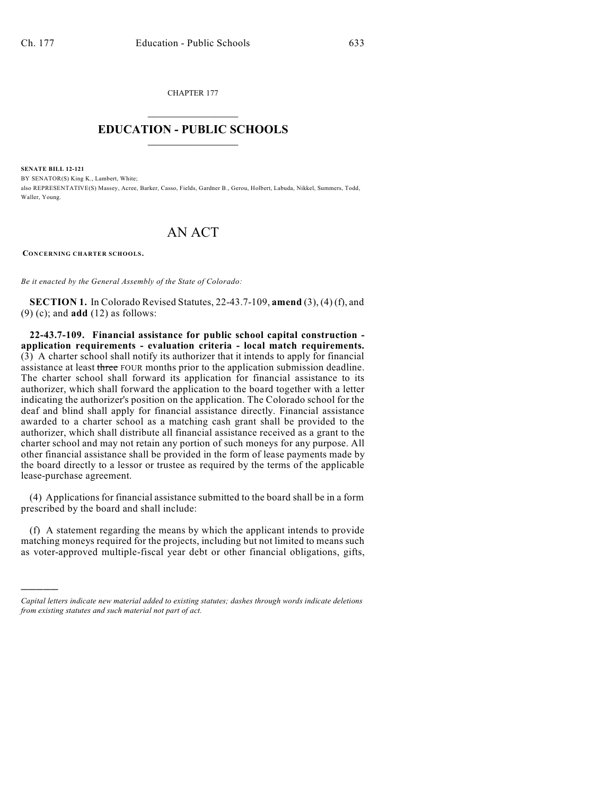CHAPTER 177  $\overline{\phantom{a}}$  . The set of the set of the set of the set of the set of the set of the set of the set of the set of the set of the set of the set of the set of the set of the set of the set of the set of the set of the set o

## **EDUCATION - PUBLIC SCHOOLS**  $\_$   $\_$   $\_$   $\_$   $\_$   $\_$   $\_$   $\_$   $\_$

**SENATE BILL 12-121**

)))))

BY SENATOR(S) King K., Lambert, White; also REPRESENTATIVE(S) Massey, Acree, Barker, Casso, Fields, Gardner B., Gerou, Holbert, Labuda, Nikkel, Summers, Todd, Waller, Young.

## AN ACT

**CONCERNING CHARTER SCHOOLS.**

*Be it enacted by the General Assembly of the State of Colorado:*

**SECTION 1.** In Colorado Revised Statutes, 22-43.7-109, **amend** (3), (4) (f), and (9) (c); and **add** (12) as follows:

**22-43.7-109. Financial assistance for public school capital construction application requirements - evaluation criteria - local match requirements.** (3) A charter school shall notify its authorizer that it intends to apply for financial assistance at least three FOUR months prior to the application submission deadline. The charter school shall forward its application for financial assistance to its authorizer, which shall forward the application to the board together with a letter indicating the authorizer's position on the application. The Colorado school for the deaf and blind shall apply for financial assistance directly. Financial assistance awarded to a charter school as a matching cash grant shall be provided to the authorizer, which shall distribute all financial assistance received as a grant to the charter school and may not retain any portion of such moneys for any purpose. All other financial assistance shall be provided in the form of lease payments made by the board directly to a lessor or trustee as required by the terms of the applicable lease-purchase agreement.

(4) Applications for financial assistance submitted to the board shall be in a form prescribed by the board and shall include:

(f) A statement regarding the means by which the applicant intends to provide matching moneys required for the projects, including but not limited to means such as voter-approved multiple-fiscal year debt or other financial obligations, gifts,

*Capital letters indicate new material added to existing statutes; dashes through words indicate deletions from existing statutes and such material not part of act.*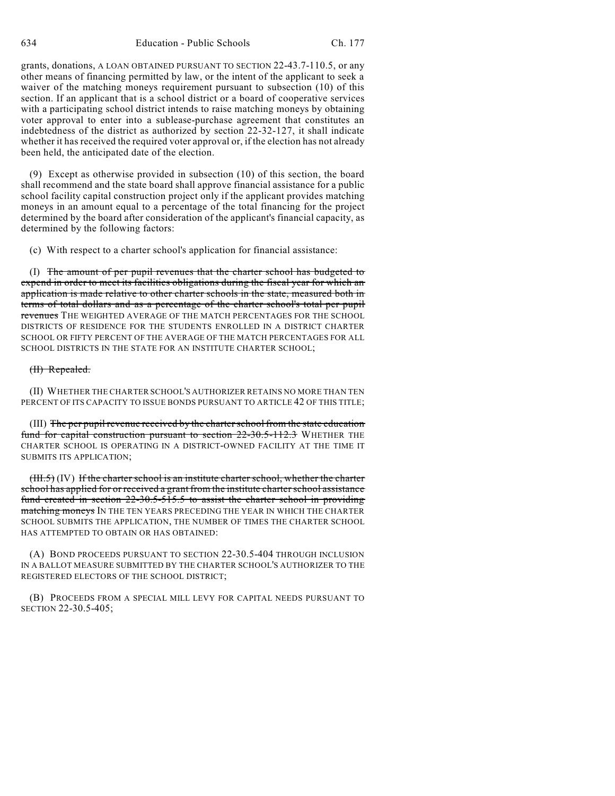grants, donations, A LOAN OBTAINED PURSUANT TO SECTION 22-43.7-110.5, or any other means of financing permitted by law, or the intent of the applicant to seek a waiver of the matching moneys requirement pursuant to subsection (10) of this section. If an applicant that is a school district or a board of cooperative services with a participating school district intends to raise matching moneys by obtaining voter approval to enter into a sublease-purchase agreement that constitutes an indebtedness of the district as authorized by section 22-32-127, it shall indicate whether it has received the required voter approval or, if the election has not already been held, the anticipated date of the election.

(9) Except as otherwise provided in subsection (10) of this section, the board shall recommend and the state board shall approve financial assistance for a public school facility capital construction project only if the applicant provides matching moneys in an amount equal to a percentage of the total financing for the project determined by the board after consideration of the applicant's financial capacity, as determined by the following factors:

(c) With respect to a charter school's application for financial assistance:

(I) The amount of per pupil revenues that the charter school has budgeted to expend in order to meet its facilities obligations during the fiscal year for which an application is made relative to other charter schools in the state, measured both in terms of total dollars and as a percentage of the charter school's total per pupil revenues THE WEIGHTED AVERAGE OF THE MATCH PERCENTAGES FOR THE SCHOOL DISTRICTS OF RESIDENCE FOR THE STUDENTS ENROLLED IN A DISTRICT CHARTER SCHOOL OR FIFTY PERCENT OF THE AVERAGE OF THE MATCH PERCENTAGES FOR ALL SCHOOL DISTRICTS IN THE STATE FOR AN INSTITUTE CHARTER SCHOOL;

## (II) Repealed.

(II) WHETHER THE CHARTER SCHOOL'S AUTHORIZER RETAINS NO MORE THAN TEN PERCENT OF ITS CAPACITY TO ISSUE BONDS PURSUANT TO ARTICLE 42 OF THIS TITLE;

(III) The per pupil revenue received by the charterschool from the state education fund for capital construction pursuant to section 22-30.5-112.3 WHETHER THE CHARTER SCHOOL IS OPERATING IN A DISTRICT-OWNED FACILITY AT THE TIME IT SUBMITS ITS APPLICATION;

(III.5) (IV) If the charter school is an institute charter school, whether the charter school has applied for or received a grant from the institute charter school assistance fund created in section 22-30.5-515.5 to assist the charter school in providing matching moneys IN THE TEN YEARS PRECEDING THE YEAR IN WHICH THE CHARTER SCHOOL SUBMITS THE APPLICATION, THE NUMBER OF TIMES THE CHARTER SCHOOL HAS ATTEMPTED TO OBTAIN OR HAS OBTAINED:

(A) BOND PROCEEDS PURSUANT TO SECTION 22-30.5-404 THROUGH INCLUSION IN A BALLOT MEASURE SUBMITTED BY THE CHARTER SCHOOL'S AUTHORIZER TO THE REGISTERED ELECTORS OF THE SCHOOL DISTRICT;

(B) PROCEEDS FROM A SPECIAL MILL LEVY FOR CAPITAL NEEDS PURSUANT TO SECTION 22-30.5-405;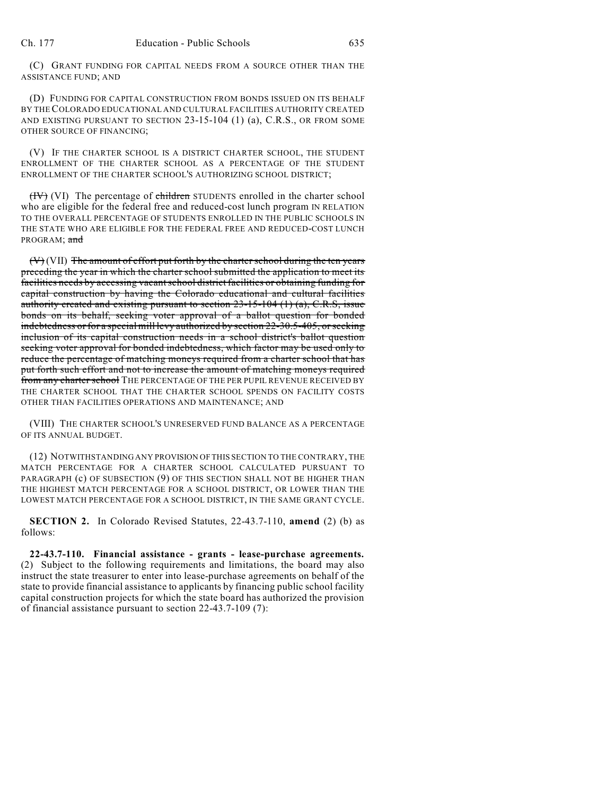(C) GRANT FUNDING FOR CAPITAL NEEDS FROM A SOURCE OTHER THAN THE ASSISTANCE FUND; AND

(D) FUNDING FOR CAPITAL CONSTRUCTION FROM BONDS ISSUED ON ITS BEHALF BY THECOLORADO EDUCATIONAL AND CULTURAL FACILITIES AUTHORITY CREATED AND EXISTING PURSUANT TO SECTION 23-15-104 (1) (a), C.R.S., OR FROM SOME OTHER SOURCE OF FINANCING;

(V) IF THE CHARTER SCHOOL IS A DISTRICT CHARTER SCHOOL, THE STUDENT ENROLLMENT OF THE CHARTER SCHOOL AS A PERCENTAGE OF THE STUDENT ENROLLMENT OF THE CHARTER SCHOOL'S AUTHORIZING SCHOOL DISTRICT;

(IV) (VI) The percentage of children STUDENTS enrolled in the charter school who are eligible for the federal free and reduced-cost lunch program IN RELATION TO THE OVERALL PERCENTAGE OF STUDENTS ENROLLED IN THE PUBLIC SCHOOLS IN THE STATE WHO ARE ELIGIBLE FOR THE FEDERAL FREE AND REDUCED-COST LUNCH PROGRAM: and

 $(V)$  (VII) The amount of effort put forth by the charter school during the ten years preceding the year in which the charter school submitted the application to meet its facilities needs by accessing vacantschool district facilities or obtaining funding for capital construction by having the Colorado educational and cultural facilities authority created and existing pursuant to section  $23-15-104$  (1) (a), C.R.S, issue bonds on its behalf, seeking voter approval of a ballot question for bonded indebtedness or for a special mill levy authorized by section 22-30.5-405, orseeking inclusion of its capital construction needs in a school district's ballot question seeking voter approval for bonded indebtedness, which factor may be used only to reduce the percentage of matching moneys required from a charter school that has put forth such effort and not to increase the amount of matching moneys required from any charter school THE PERCENTAGE OF THE PER PUPIL REVENUE RECEIVED BY THE CHARTER SCHOOL THAT THE CHARTER SCHOOL SPENDS ON FACILITY COSTS OTHER THAN FACILITIES OPERATIONS AND MAINTENANCE; AND

(VIII) THE CHARTER SCHOOL'S UNRESERVED FUND BALANCE AS A PERCENTAGE OF ITS ANNUAL BUDGET.

(12) NOTWITHSTANDING ANY PROVISION OF THIS SECTION TO THE CONTRARY, THE MATCH PERCENTAGE FOR A CHARTER SCHOOL CALCULATED PURSUANT TO PARAGRAPH (c) OF SUBSECTION (9) OF THIS SECTION SHALL NOT BE HIGHER THAN THE HIGHEST MATCH PERCENTAGE FOR A SCHOOL DISTRICT, OR LOWER THAN THE LOWEST MATCH PERCENTAGE FOR A SCHOOL DISTRICT, IN THE SAME GRANT CYCLE.

**SECTION 2.** In Colorado Revised Statutes, 22-43.7-110, **amend** (2) (b) as follows:

**22-43.7-110. Financial assistance - grants - lease-purchase agreements.** (2) Subject to the following requirements and limitations, the board may also instruct the state treasurer to enter into lease-purchase agreements on behalf of the state to provide financial assistance to applicants by financing public school facility capital construction projects for which the state board has authorized the provision of financial assistance pursuant to section 22-43.7-109 (7):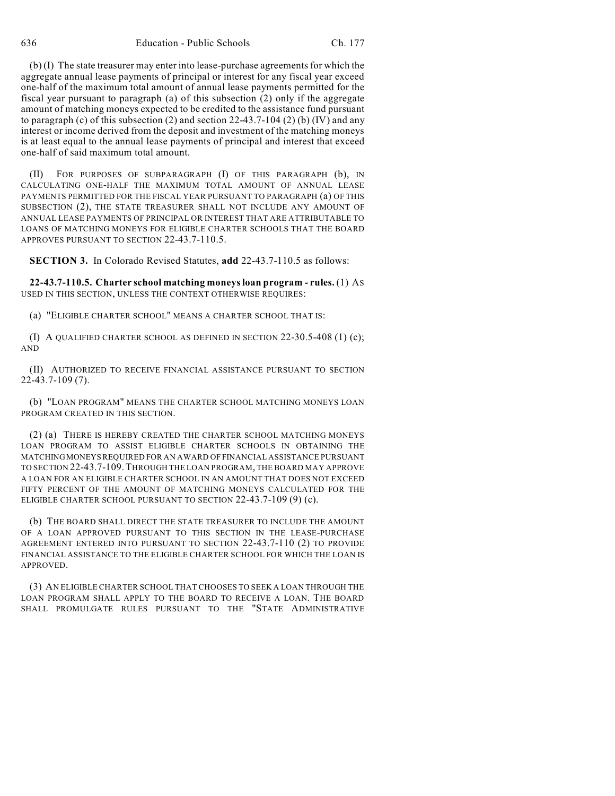(b) (I) The state treasurer may enter into lease-purchase agreements for which the aggregate annual lease payments of principal or interest for any fiscal year exceed one-half of the maximum total amount of annual lease payments permitted for the fiscal year pursuant to paragraph (a) of this subsection (2) only if the aggregate amount of matching moneys expected to be credited to the assistance fund pursuant to paragraph (c) of this subsection (2) and section  $22-43.7-104$  (2) (b) (IV) and any interest or income derived from the deposit and investment of the matching moneys is at least equal to the annual lease payments of principal and interest that exceed one-half of said maximum total amount.

(II) FOR PURPOSES OF SUBPARAGRAPH (I) OF THIS PARAGRAPH (b), IN CALCULATING ONE-HALF THE MAXIMUM TOTAL AMOUNT OF ANNUAL LEASE PAYMENTS PERMITTED FOR THE FISCAL YEAR PURSUANT TO PARAGRAPH (a) OF THIS SUBSECTION (2), THE STATE TREASURER SHALL NOT INCLUDE ANY AMOUNT OF ANNUAL LEASE PAYMENTS OF PRINCIPAL OR INTEREST THAT ARE ATTRIBUTABLE TO LOANS OF MATCHING MONEYS FOR ELIGIBLE CHARTER SCHOOLS THAT THE BOARD APPROVES PURSUANT TO SECTION 22-43.7-110.5.

**SECTION 3.** In Colorado Revised Statutes, **add** 22-43.7-110.5 as follows:

**22-43.7-110.5. Charter school matching moneysloan program - rules.** (1) AS USED IN THIS SECTION, UNLESS THE CONTEXT OTHERWISE REQUIRES:

(a) "ELIGIBLE CHARTER SCHOOL" MEANS A CHARTER SCHOOL THAT IS:

(I) A QUALIFIED CHARTER SCHOOL AS DEFINED IN SECTION 22-30.5-408 (1) (c); AND

(II) AUTHORIZED TO RECEIVE FINANCIAL ASSISTANCE PURSUANT TO SECTION 22-43.7-109 (7).

(b) "LOAN PROGRAM" MEANS THE CHARTER SCHOOL MATCHING MONEYS LOAN PROGRAM CREATED IN THIS SECTION.

(2) (a) THERE IS HEREBY CREATED THE CHARTER SCHOOL MATCHING MONEYS LOAN PROGRAM TO ASSIST ELIGIBLE CHARTER SCHOOLS IN OBTAINING THE MATCHINGMONEYSREQUIRED FOR AN AWARD OF FINANCIAL ASSISTANCE PURSUANT TO SECTION 22-43.7-109.THROUGH THE LOAN PROGRAM, THE BOARD MAY APPROVE A LOAN FOR AN ELIGIBLE CHARTER SCHOOL IN AN AMOUNT THAT DOES NOT EXCEED FIFTY PERCENT OF THE AMOUNT OF MATCHING MONEYS CALCULATED FOR THE ELIGIBLE CHARTER SCHOOL PURSUANT TO SECTION 22-43.7-109 (9) (c).

(b) THE BOARD SHALL DIRECT THE STATE TREASURER TO INCLUDE THE AMOUNT OF A LOAN APPROVED PURSUANT TO THIS SECTION IN THE LEASE-PURCHASE AGREEMENT ENTERED INTO PURSUANT TO SECTION 22-43.7-110 (2) TO PROVIDE FINANCIAL ASSISTANCE TO THE ELIGIBLE CHARTER SCHOOL FOR WHICH THE LOAN IS APPROVED.

(3) AN ELIGIBLE CHARTER SCHOOL THAT CHOOSES TO SEEK A LOAN THROUGH THE LOAN PROGRAM SHALL APPLY TO THE BOARD TO RECEIVE A LOAN. THE BOARD SHALL PROMULGATE RULES PURSUANT TO THE "STATE ADMINISTRATIVE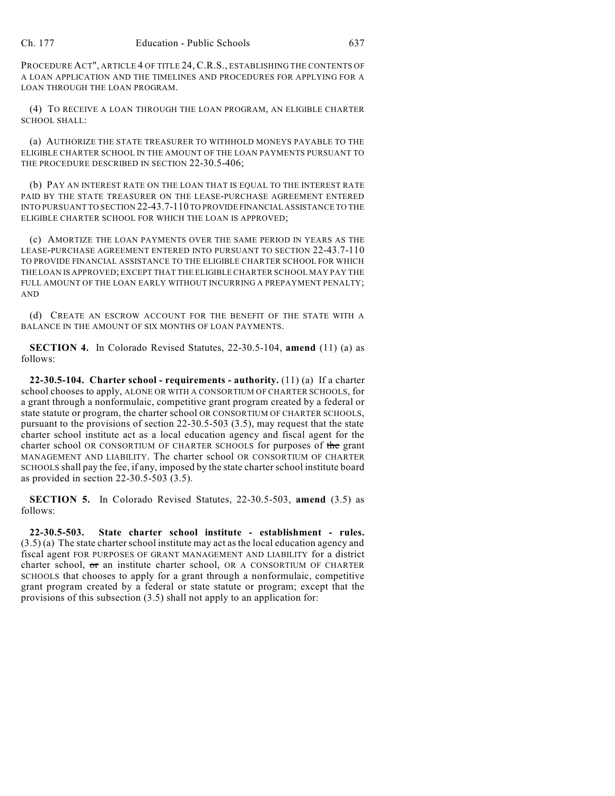PROCEDURE ACT", ARTICLE 4 OF TITLE 24, C.R.S., ESTABLISHING THE CONTENTS OF A LOAN APPLICATION AND THE TIMELINES AND PROCEDURES FOR APPLYING FOR A LOAN THROUGH THE LOAN PROGRAM.

(4) TO RECEIVE A LOAN THROUGH THE LOAN PROGRAM, AN ELIGIBLE CHARTER SCHOOL SHALL:

(a) AUTHORIZE THE STATE TREASURER TO WITHHOLD MONEYS PAYABLE TO THE ELIGIBLE CHARTER SCHOOL IN THE AMOUNT OF THE LOAN PAYMENTS PURSUANT TO THE PROCEDURE DESCRIBED IN SECTION 22-30.5-406;

(b) PAY AN INTEREST RATE ON THE LOAN THAT IS EQUAL TO THE INTEREST RATE PAID BY THE STATE TREASURER ON THE LEASE-PURCHASE AGREEMENT ENTERED INTO PURSUANT TO SECTION 22-43.7-110 TO PROVIDE FINANCIAL ASSISTANCE TO THE ELIGIBLE CHARTER SCHOOL FOR WHICH THE LOAN IS APPROVED;

(c) AMORTIZE THE LOAN PAYMENTS OVER THE SAME PERIOD IN YEARS AS THE LEASE-PURCHASE AGREEMENT ENTERED INTO PURSUANT TO SECTION 22-43.7-110 TO PROVIDE FINANCIAL ASSISTANCE TO THE ELIGIBLE CHARTER SCHOOL FOR WHICH THE LOAN IS APPROVED; EXCEPT THAT THE ELIGIBLE CHARTER SCHOOL MAY PAY THE FULL AMOUNT OF THE LOAN EARLY WITHOUT INCURRING A PREPAYMENT PENALTY; AND

(d) CREATE AN ESCROW ACCOUNT FOR THE BENEFIT OF THE STATE WITH A BALANCE IN THE AMOUNT OF SIX MONTHS OF LOAN PAYMENTS.

**SECTION 4.** In Colorado Revised Statutes, 22-30.5-104, **amend** (11) (a) as follows:

**22-30.5-104. Charter school - requirements - authority.** (11) (a) If a charter school chooses to apply, ALONE OR WITH A CONSORTIUM OF CHARTER SCHOOLS, for a grant through a nonformulaic, competitive grant program created by a federal or state statute or program, the charter school OR CONSORTIUM OF CHARTER SCHOOLS, pursuant to the provisions of section 22-30.5-503 (3.5), may request that the state charter school institute act as a local education agency and fiscal agent for the charter school OR CONSORTIUM OF CHARTER SCHOOLS for purposes of the grant MANAGEMENT AND LIABILITY. The charter school OR CONSORTIUM OF CHARTER SCHOOLS shall pay the fee, if any, imposed by the state charter school institute board as provided in section 22-30.5-503 (3.5).

**SECTION 5.** In Colorado Revised Statutes, 22-30.5-503, **amend** (3.5) as follows:

**22-30.5-503. State charter school institute - establishment - rules.** (3.5) (a) The state charter school institute may act as the local education agency and fiscal agent FOR PURPOSES OF GRANT MANAGEMENT AND LIABILITY for a district charter school, or an institute charter school, OR A CONSORTIUM OF CHARTER SCHOOLS that chooses to apply for a grant through a nonformulaic, competitive grant program created by a federal or state statute or program; except that the provisions of this subsection (3.5) shall not apply to an application for: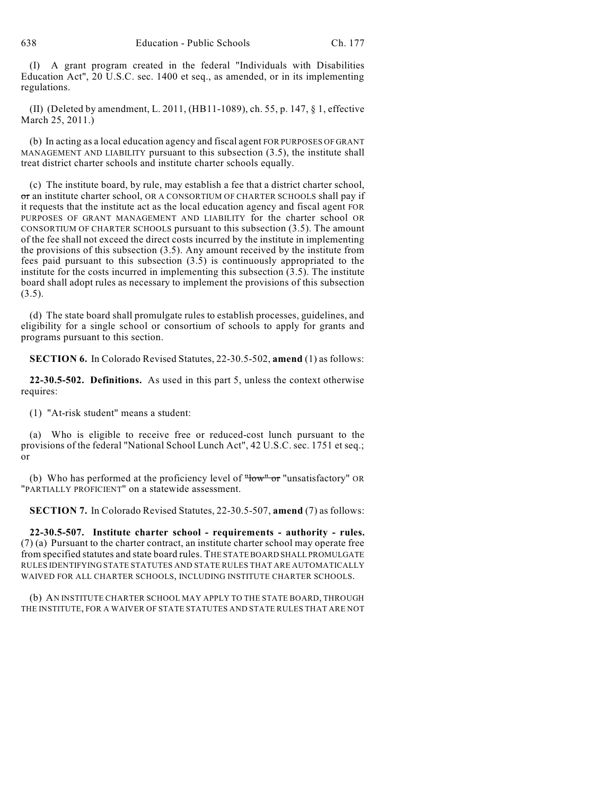(I) A grant program created in the federal "Individuals with Disabilities Education Act", 20 U.S.C. sec. 1400 et seq., as amended, or in its implementing regulations.

(II) (Deleted by amendment, L. 2011, (HB11-1089), ch. 55, p. 147, § 1, effective March 25, 2011.)

(b) In acting as a local education agency and fiscal agent FOR PURPOSES OF GRANT MANAGEMENT AND LIABILITY pursuant to this subsection (3.5), the institute shall treat district charter schools and institute charter schools equally.

(c) The institute board, by rule, may establish a fee that a district charter school, or an institute charter school, OR A CONSORTIUM OF CHARTER SCHOOLS shall pay if it requests that the institute act as the local education agency and fiscal agent FOR PURPOSES OF GRANT MANAGEMENT AND LIABILITY for the charter school OR CONSORTIUM OF CHARTER SCHOOLS pursuant to this subsection (3.5). The amount of the fee shall not exceed the direct costs incurred by the institute in implementing the provisions of this subsection (3.5). Any amount received by the institute from fees paid pursuant to this subsection (3.5) is continuously appropriated to the institute for the costs incurred in implementing this subsection  $(3.5)$ . The institute board shall adopt rules as necessary to implement the provisions of this subsection  $(3.5).$ 

(d) The state board shall promulgate rules to establish processes, guidelines, and eligibility for a single school or consortium of schools to apply for grants and programs pursuant to this section.

**SECTION 6.** In Colorado Revised Statutes, 22-30.5-502, **amend** (1) as follows:

**22-30.5-502. Definitions.** As used in this part 5, unless the context otherwise requires:

(1) "At-risk student" means a student:

(a) Who is eligible to receive free or reduced-cost lunch pursuant to the provisions of the federal "National School Lunch Act", 42 U.S.C. sec. 1751 et seq.; or

(b) Who has performed at the proficiency level of  $How^{\mu}$  or "unsatisfactory" OR "PARTIALLY PROFICIENT" on a statewide assessment.

**SECTION 7.** In Colorado Revised Statutes, 22-30.5-507, **amend** (7) as follows:

**22-30.5-507. Institute charter school - requirements - authority - rules.** (7) (a) Pursuant to the charter contract, an institute charter school may operate free from specified statutes and state board rules. THE STATE BOARD SHALL PROMULGATE RULES IDENTIFYING STATE STATUTES AND STATE RULES THAT ARE AUTOMATICALLY WAIVED FOR ALL CHARTER SCHOOLS, INCLUDING INSTITUTE CHARTER SCHOOLS.

(b) AN INSTITUTE CHARTER SCHOOL MAY APPLY TO THE STATE BOARD, THROUGH THE INSTITUTE, FOR A WAIVER OF STATE STATUTES AND STATE RULES THAT ARE NOT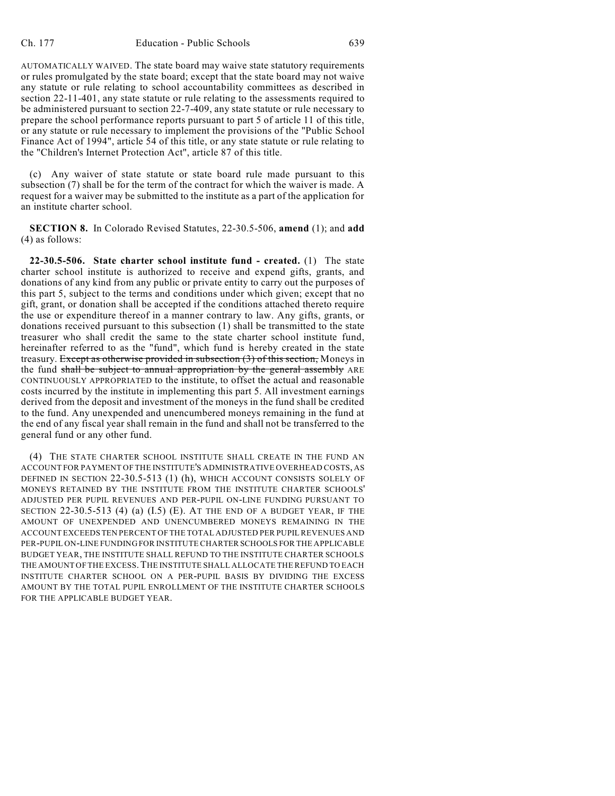AUTOMATICALLY WAIVED. The state board may waive state statutory requirements or rules promulgated by the state board; except that the state board may not waive any statute or rule relating to school accountability committees as described in section 22-11-401, any state statute or rule relating to the assessments required to be administered pursuant to section 22-7-409, any state statute or rule necessary to prepare the school performance reports pursuant to part 5 of article 11 of this title, or any statute or rule necessary to implement the provisions of the "Public School Finance Act of 1994", article 54 of this title, or any state statute or rule relating to the "Children's Internet Protection Act", article 87 of this title.

(c) Any waiver of state statute or state board rule made pursuant to this subsection (7) shall be for the term of the contract for which the waiver is made. A request for a waiver may be submitted to the institute as a part of the application for an institute charter school.

**SECTION 8.** In Colorado Revised Statutes, 22-30.5-506, **amend** (1); and **add** (4) as follows:

**22-30.5-506. State charter school institute fund - created.** (1) The state charter school institute is authorized to receive and expend gifts, grants, and donations of any kind from any public or private entity to carry out the purposes of this part 5, subject to the terms and conditions under which given; except that no gift, grant, or donation shall be accepted if the conditions attached thereto require the use or expenditure thereof in a manner contrary to law. Any gifts, grants, or donations received pursuant to this subsection (1) shall be transmitted to the state treasurer who shall credit the same to the state charter school institute fund, hereinafter referred to as the "fund", which fund is hereby created in the state treasury. Except as otherwise provided in subsection (3) of this section, Moneys in the fund shall be subject to annual appropriation by the general assembly ARE CONTINUOUSLY APPROPRIATED to the institute, to offset the actual and reasonable costs incurred by the institute in implementing this part 5. All investment earnings derived from the deposit and investment of the moneys in the fund shall be credited to the fund. Any unexpended and unencumbered moneys remaining in the fund at the end of any fiscal year shall remain in the fund and shall not be transferred to the general fund or any other fund.

(4) THE STATE CHARTER SCHOOL INSTITUTE SHALL CREATE IN THE FUND AN ACCOUNT FOR PAYMENT OF THE INSTITUTE'S ADMINISTRATIVE OVERHEAD COSTS, AS DEFINED IN SECTION 22-30.5-513 (1) (h), WHICH ACCOUNT CONSISTS SOLELY OF MONEYS RETAINED BY THE INSTITUTE FROM THE INSTITUTE CHARTER SCHOOLS' ADJUSTED PER PUPIL REVENUES AND PER-PUPIL ON-LINE FUNDING PURSUANT TO SECTION  $22-30.5-513$  (4) (a) (I.5) (E). AT THE END OF A BUDGET YEAR, IF THE AMOUNT OF UNEXPENDED AND UNENCUMBERED MONEYS REMAINING IN THE ACCOUNT EXCEEDS TEN PERCENT OF THE TOTAL ADJUSTED PER PUPIL REVENUES AND PER-PUPIL ON-LINE FUNDING FOR INSTITUTE CHARTER SCHOOLS FOR THE APPLICABLE BUDGET YEAR, THE INSTITUTE SHALL REFUND TO THE INSTITUTE CHARTER SCHOOLS THE AMOUNT OF THE EXCESS.THE INSTITUTE SHALL ALLOCATE THE REFUND TO EACH INSTITUTE CHARTER SCHOOL ON A PER-PUPIL BASIS BY DIVIDING THE EXCESS AMOUNT BY THE TOTAL PUPIL ENROLLMENT OF THE INSTITUTE CHARTER SCHOOLS FOR THE APPLICABLE BUDGET YEAR.